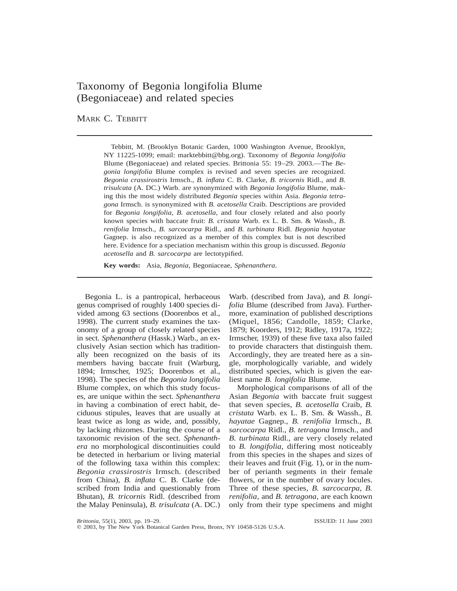# Taxonomy of Begonia longifolia Blume (Begoniaceae) and related species

## MARK C. TEBBITT

Tebbitt, M. (Brooklyn Botanic Garden, 1000 Washington Avenue, Brooklyn, NY 11225-1099; email: marktebbitt@bbg.org). Taxonomy of *Begonia longifolia* Blume (Begoniaceae) and related species. Brittonia 55: 19–29. 2003.—The *Begonia longifolia* Blume complex is revised and seven species are recognized. *Begonia crassirostris* Irmsch., *B. inflata* C. B. Clarke, *B. tricornis* Ridl., and *B. trisulcata* (A. DC.) Warb. are synonymized with *Begonia longifolia* Blume, making this the most widely distributed *Begonia* species within Asia. *Begonia tetragona* Irmsch. is synonymized with *B. acetosella* Craib. Descriptions are provided for *Begonia longifolia*, *B. acetosella*, and four closely related and also poorly known species with baccate fruit: *B. cristata* Warb. ex L. B. Sm. & Wassh., *B. renifolia* Irmsch., *B. sarcocarpa* Ridl., and *B. turbinata* Ridl. *Begonia hayatae* Gagnep. is also recognized as a member of this complex but is not described here. Evidence for a speciation mechanism within this group is discussed. *Begonia acetosella* and *B. sarcocarpa* are lectotypified.

**Key words:** Asia, *Begonia*, Begoniaceae, *Sphenanthera*.

Begonia L. is a pantropical, herbaceous genus comprised of roughly 1400 species divided among 63 sections (Doorenbos et al., 1998). The current study examines the taxonomy of a group of closely related species in sect. *Sphenanthera* (Hassk.) Warb., an exclusively Asian section which has traditionally been recognized on the basis of its members having baccate fruit (Warburg, 1894; Irmscher, 1925; Doorenbos et al., 1998). The species of the *Begonia longifolia* Blume complex, on which this study focuses, are unique within the sect. *Sphenanthera* in having a combination of erect habit, deciduous stipules, leaves that are usually at least twice as long as wide, and, possibly, by lacking rhizomes. During the course of a taxonomic revision of the sect. *Sphenanthera* no morphological discontinuities could be detected in herbarium or living material of the following taxa within this complex: *Begonia crassirostris* Irmsch. (described from China), *B. inflata* C. B. Clarke (described from India and questionably from Bhutan), *B. tricornis* Ridl. (described from the Malay Peninsula), *B. trisulcata* (A. DC.)

Warb. (described from Java), and *B. longifolia* Blume (described from Java). Furthermore, examination of published descriptions (Miquel, 1856; Candolle, 1859; Clarke, 1879; Koorders, 1912; Ridley, 1917a, 1922; Irmscher, 1939) of these five taxa also failed to provide characters that distinguish them. Accordingly, they are treated here as a single, morphologically variable, and widely distributed species, which is given the earliest name *B. longifolia* Blume.

Morphological comparisons of all of the Asian *Begonia* with baccate fruit suggest that seven species, *B. acetosella* Craib, *B. cristata* Warb. ex L. B. Sm. & Wassh., *B. hayatae* Gagnep., *B. renifolia* Irmsch., *B. sarcocarpa* Ridl., *B. tetragona* Irmsch., and *B. turbinata* Ridl., are very closely related to *B. longifolia*, differing most noticeably from this species in the shapes and sizes of their leaves and fruit (Fig. 1), or in the number of perianth segments in their female flowers, or in the number of ovary locules. Three of these species, *B. sarcocarpa*, *B. renifolia*, and *B. tetragona*, are each known only from their type specimens and might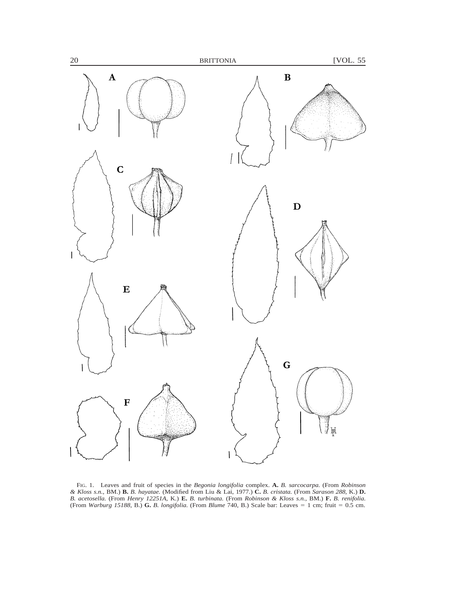

FIG. 1. Leaves and fruit of species in the *Begonia longifolia* complex. **A.** *B. sarcocarpa.* (From *Robinson & Kloss s.n.*, BM.) **B.** *B. hayatae.* (Modified from Liu & Lai, 1977.) **C.** *B. cristata.* (From *Sarason 288,* K.) **D.** *B. acetosella.* (From *Henry 12251A,* K.) **E.** *B. turbinata.* (From *Robinson & Kloss s.n.,* BM.) **F.** *B. renifolia.* (From *Warburg 15188*, B.) **G.** *B. longifolia.* (From *Blume* 740, B.) Scale bar: Leaves = 1 cm; fruit = 0.5 cm.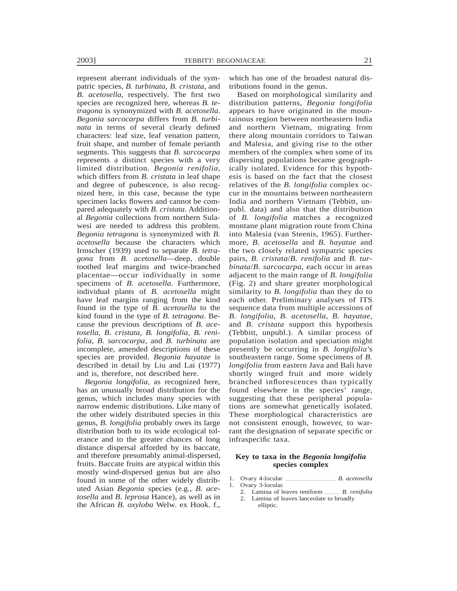represent aberrant individuals of the sympatric species, *B. turbinata*, *B. cristata*, and *B. acetosella*, respectively. The first two species are recognized here, whereas *B. tetragona* is synonymized with *B. acetosella*. *Begonia sarcocarpa* differs from *B. turbinata* in terms of several clearly defined characters: leaf size, leaf venation pattern, fruit shape, and number of female perianth segments. This suggests that *B. sarcocarpa* represents a distinct species with a very limited distribution. *Begonia renifolia*, which differs from *B. cristata* in leaf shape and degree of pubescence, is also recognized here, in this case, because the type specimen lacks flowers and cannot be compared adequately with *B. cristata*. Additional *Begonia* collections from northern Sulawesi are needed to address this problem. *Begonia tetragona* is synonymized with *B. acetosella* because the characters which Irmscher (1939) used to separate *B. tetragona* from *B. acetosella*—deep, double toothed leaf margins and twice-branched placentae—occur individually in some specimens of *B. acetosella*. Furthermore, individual plants of *B. acetosella* might have leaf margins ranging from the kind found in the type of *B. acetosella* to the kind found in the type of *B. tetragona*. Because the previous descriptions of *B. acetosella*, *B. cristata*, *B. longifolia*, *B. renifolia*, *B. sarcocarpa*, and *B. turbinata* are incomplete, amended descriptions of these species are provided. *Begonia hayatae* is described in detail by Liu and Lai (1977) and is, therefore, not described here.

*Begonia longifolia*, as recognized here, has an unusually broad distribution for the genus, which includes many species with narrow endemic distributions. Like many of the other widely distributed species in this genus, *B. longifolia* probably owes its large distribution both to its wide ecological tolerance and to the greater chances of long distance dispersal afforded by its baccate, and therefore presumably animal-dispersed, fruits. Baccate fruits are atypical within this mostly wind-dispersed genus but are also found in some of the other widely distributed Asian *Begonia* species (e.g., *B. acetosella* and *B. leprosa* Hance), as well as in the African *B. oxyloba* Welw. ex Hook. f.,

which has one of the broadest natural distributions found in the genus.

Based on morphological similarity and distribution patterns, *Begonia longifolia* appears to have originated in the mountainous region between northeastern India and northern Vietnam, migrating from there along mountain corridors to Taiwan and Malesia, and giving rise to the other members of the complex when some of its dispersing populations became geographically isolated. Evidence for this hypothesis is based on the fact that the closest relatives of the *B. longifolia* complex occur in the mountains between northeastern India and northern Vietnam (Tebbitt, unpubl. data) and also that the distribution of *B. longifolia* matches a recognized montane plant migration route from China into Malesia (van Steenis, 1965). Furthermore, *B. acetosella* and *B. hayatae* and the two closely related sympatric species pairs, *B. cristata*/*B. renifolia* and *B. turbinata*/*B. sarcocarpa*, each occur in areas adjacent to the main range of *B. longifolia* (Fig. 2) and share greater morphological similarity to *B. longifolia* than they do to each other. Preliminary analyses of ITS sequence data from multiple accessions of *B. longifolia*, *B. acetosella*, *B. hayatae*, and *B. cristata* support this hypothesis (Tebbitt, unpubl.). A similar process of population isolation and speciation might presently be occurring in *B. longifolia*'s southeastern range. Some specimens of *B. longifolia* from eastern Java and Bali have shortly winged fruit and more widely branched inflorescences than typically found elsewhere in the species' range, suggesting that these peripheral populations are somewhat genetically isolated. These morphological characteristics are not consistent enough, however, to warrant the designation of separate specific or infraspecific taxa.

## **Key to taxa in the** *Begonia longifolia* **species complex**

- 1. Ovary 4-locular  $\frac{1}{2}$  *B. acetosella*
- 1. Ovary 3-locular.
	- 2. Lamina of leaves reniform  $\ldots$  *B. renifolia*
	- 2. Lamina of leaves lanceolate to broadly elliptic.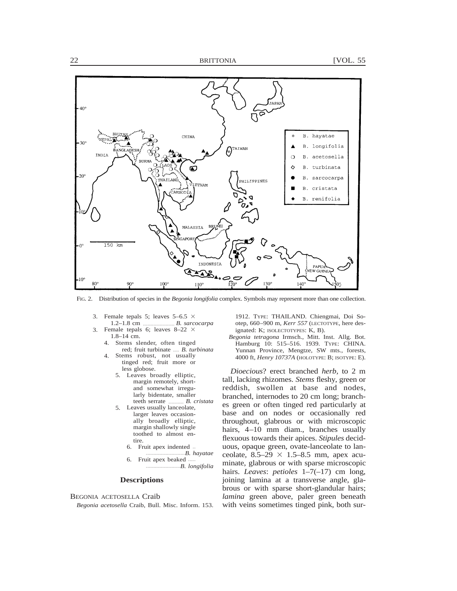

FIG. 2. Distribution of species in the *Begonia longifolia* complex. Symbols may represent more than one collection.

- 3. Female tepals 5; leaves  $5-6.5 \times$ 1.2–1.8 cm  $\frac{B. \, \text{saroc}$
- 3. Female tepals 6; leaves  $8-22 \times$ 1.8–14 cm.
	- 4. Stems slender, often tinged red; fruit turbinate ---- *B. turbinata*
	- 4. Stems robust, not usually tinged red; fruit more or less globose.
		- 5. Leaves broadly elliptic, margin remotely, shortand somewhat irregularly bidentate, smaller teeth serrate *B. cristata*
		- 5. Leaves usually lanceolate, larger leaves occasionally broadly elliptic, margin shallowly single toothed to almost entire.
			- 6. Fruit apex indented -- --------------------------*B. hayatae*
			- Fruit apex beaked --------------------------*B. longifolia*

## **Descriptions**

## BEGONIA ACETOSELLA Craib

*Begonia acetosella* Craib, Bull. Misc. Inform. 153.

1912. TYPE: THAILAND. Chiengmai, Doi Sootep, 660–900 m, *Kerr 557* (LECTOTYPE, here designated: K; ISOLECTOTYPES: K, B).

*Begonia tetragona* Irmsch., Mitt. Inst. Allg. Bot. Hamburg 10: 515–516. 1939. TYPE: CHINA. Yunnan Province, Mengtze, SW mts., forests, 4000 ft, *Henry 10737A* (HOLOTYPE: B; ISOTYPE: E).

*Dioecious*? erect branched *herb,* to 2 m tall, lacking rhizomes. *Stems* fleshy, green or reddish, swollen at base and nodes, branched, internodes to 20 cm long; branches green or often tinged red particularly at base and on nodes or occasionally red throughout, glabrous or with microscopic hairs, 4–10 mm diam., branches usually flexuous towards their apices. *Stipules* deciduous, opaque green, ovate-lanceolate to lanceolate,  $8.5-29 \times 1.5-8.5$  mm, apex acuminate, glabrous or with sparse microscopic hairs. *Leaves*: *petioles* 1–7(–17) cm long, joining lamina at a transverse angle, glabrous or with sparse short-glandular hairs; *lamina* green above, paler green beneath with veins sometimes tinged pink, both sur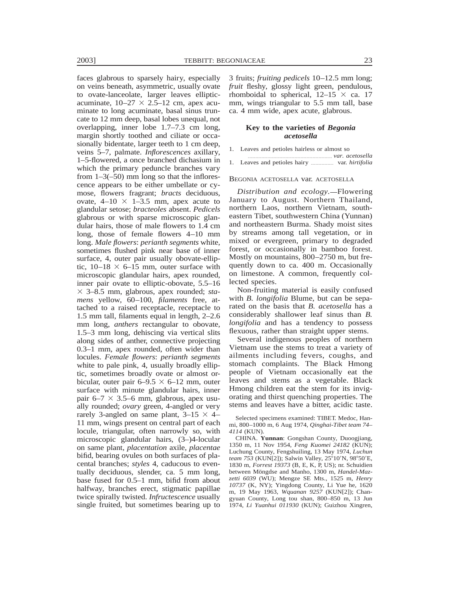faces glabrous to sparsely hairy, especially on veins beneath, asymmetric, usually ovate to ovate-lanceolate, larger leaves ellipticacuminate,  $10-27 \times 2.5-12$  cm, apex acuminate to long acuminate, basal sinus truncate to 12 mm deep, basal lobes unequal, not overlapping, inner lobe 1.7–7.3 cm long, margin shortly toothed and ciliate or occasionally bidentate, larger teeth to 1 cm deep, veins 5–7, palmate. *Inflorescences* axillary, 1–5-flowered, a once branched dichasium in which the primary peduncle branches vary from  $1-3(-50)$  mm long so that the inflorescence appears to be either umbellate or cymose, flowers fragrant; *bracts* deciduous, ovate,  $4-10 \times 1-3.5$  mm, apex acute to glandular setose; *bracteoles* absent. *Pedicels* glabrous or with sparse microscopic glandular hairs, those of male flowers to 1.4 cm long, those of female flowers 4–10 mm long. *Male flowers*: *perianth segments* white, sometimes flushed pink near base of inner surface, 4, outer pair usually obovate-elliptic,  $10-18 \times 6-15$  mm, outer surface with microscopic glandular hairs, apex rounded, inner pair ovate to elliptic-obovate, 5.5–16 3 3–8.5 mm, glabrous, apex rounded; *stamens* yellow, 60–100, *filaments* free, attached to a raised receptacle, receptacle to 1.5 mm tall, filaments equal in length, 2–2.6 mm long, *anthers* rectangular to obovate, 1.5–3 mm long, dehiscing via vertical slits along sides of anther, connective projecting 0.3–1 mm, apex rounded, often wider than locules. *Female flowers*: *perianth segments* white to pale pink, 4, usually broadly elliptic, sometimes broadly ovate or almost orbicular, outer pair  $6-9.5 \times 6-12$  mm, outer surface with minute glandular hairs, inner pair 6–7  $\times$  3.5–6 mm, glabrous, apex usually rounded; *ovary* green, 4-angled or very rarely 3-angled on same plant,  $3-15 \times 4-$ 11 mm, wings present on central part of each locule, triangular, often narrowly so, with microscopic glandular hairs, (3–)4-locular on same plant, *placentation* axile, *placentae* bifid, bearing ovules on both surfaces of placental branches; *styles* 4, caducous to eventually deciduous, slender, ca. 5 mm long, base fused for 0.5–1 mm, bifid from about halfway, branches erect, stigmatic papillae twice spirally twisted. *Infructescence* usually single fruited, but sometimes bearing up to 3 fruits; *fruiting pedicels* 10–12.5 mm long; *fruit* fleshy, glossy light green, pendulous, rhomboidal to spherical,  $12-15 \times$  ca. 17 mm, wings triangular to 5.5 mm tall, base ca. 4 mm wide, apex acute, glabrous.

### **Key to the varieties of** *Begonia acetosella*

- 1. Leaves and petioles hairless or almost so
- -------------------------------------------------------- *var. acetosella* 1. Leaves and petioles hairy **------------** var. *hirtifolia*

### BEGONIA ACETOSELLA var. ACETOSELLA

*Distribution and ecology.*—Flowering January to August. Northern Thailand, northern Laos, northern Vietnam, southeastern Tibet, southwestern China (Yunnan) and northeastern Burma. Shady moist sites by streams among tall vegetation, or in mixed or evergreen, primary to degraded forest, or occasionally in bamboo forest. Mostly on mountains, 800–2750 m, but frequently down to ca. 400 m. Occasionally on limestone. A common, frequently collected species.

Non-fruiting material is easily confused with *B. longifolia* Blume, but can be separated on the basis that *B. acetosella* has a considerably shallower leaf sinus than *B. longifolia* and has a tendency to possess flexuous, rather than straight upper stems.

Several indigenous peoples of northern Vietnam use the stems to treat a variety of ailments including fevers, coughs, and stomach complaints. The Black Hmong people of Vietnam occasionally eat the leaves and stems as a vegetable. Black Hmong children eat the stem for its invigorating and thirst quenching properties. The stems and leaves have a bitter, acidic taste.

Selected specimens examined: TIBET. Medoc, Hanmi, 800–1000 m, 6 Aug 1974, *Qinghai-Tibet team 74– 4114* (KUN).

CHINA. **Yunnan**: Gongshan County, Duoogjiang, 1350 m, 11 Nov 1954, *Feng Kuomei 24182* (KUN); Luchung County, Fengshuiling, 13 May 1974, *Luchun team 753* (KUN[2]); Salwin Valley, 25°10'N, 98°50'E, 1830 m, *Forrest 19373* (B, E, K, P, US); nr. Schuidien between Möngdse and Manho, 1300 m, *Handel-Mazzetti 6039* (WU); Mengze SE Mts., 1525 m, *Henry 10737* (K, NY); Yingdong County, Li Yue he, 1620 m, 19 May 1963, *Wquanan 9257* (KUN[2]); Changyuan County, Long tou shan, 800–850 m, 13 Jun 1974, *Li Yuanhui 011930* (KUN); Guizhou Xingren,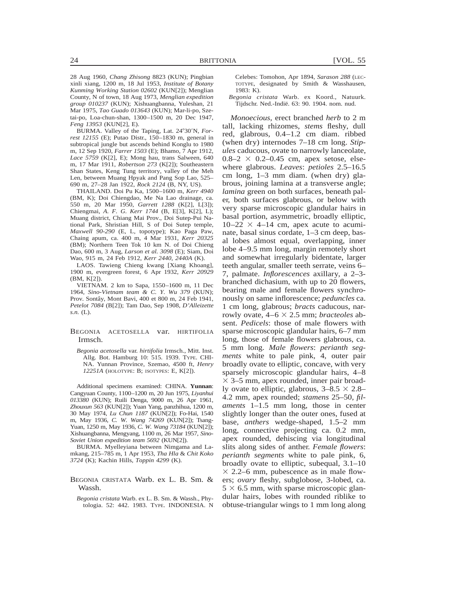28 Aug 1960, *Chang Zhisong* 8823 (KUN); Pingbian xinli xiang, 1200 m, 18 Jul 1953, *Institute of Botany Kunming Working Station 02602* (KUN[2]); Menglian County, N of town, 18 Aug 1973, *Menglian expedition group 010237* (KUN); Xishuangbanna, Yuleshan, 21 Mar 1975, *Tao Guado 013643* (KUN); Mar-li-po, Szetai-po, Loa-chun-shan, 1300–1500 m, 20 Dec 1947, *Feng 13953* (KUN[2], E).

BURMA. Valley of the Taping, Lat. 24°30'N, *Forrest 12155* (E); Putao Distr., 150–1830 m, general in subtropical jungle but ascends behind Konglu to 1980 m, 12 Sep 1920, *Farrer 1503* (E); Bhamo, 7 Apr 1912, *Lace 5759* (K[2], E); Mong hau, trans Salween, 640 m, 17 Mar 1911, *Robertson 273* (K[2]); Southeastern Shan States, Keng Tung territory, valley of the Meh Len, between Muang Hpyak and Pang Sop Lao, 525– 690 m, 27–28 Jan 1922, *Rock 2124* (B, NY, US).

THAILAND. Doi Pu Ka, 1500–1600 m, *Kerr 4940* (BM, K); Doi Chiengdao, Me Na Lao drainage, ca. 550 m, 20 Mar 1950, *Garrett 1288* (K[2], L[3]); Chiengmai, *A. F. G. Kerr 1744* (B, E[3], K[2], L); Muang district, Chiang Mai Prov., Doi Sutep-Pui National Park, Shristian Hill, S of Doi Sutep temple, *Maxwell 90-290* (E, L, topotype); Kao Paga Paw, Chaing apum, ca. 400 m, 4 Mar 1931, *Kerr 20325* (BM); Northern Teen Tok 10 km N. of Doi Chieng Dao, 600 m, 3 Aug, *Larson et al. 3098* (E); Siam, Doi Wao, 915 m, 24 Feb 1912, *Kerr 2440, 2440A* (K).

LAOS. Tawieng Chieng kwang [Xiang Khoang], 1900 m, evergreen forest, 6 Apr 1932, *Kerr 20929* (BM, K[2]).

VIETNAM. 2 km to Sapa, 1550–1600 m, 11 Dec 1964, *Sino-Vietnam team & C. Y. Wu 379* (KUN); Prov. Sontaˆy, Mont Bavi, 400 et 800 m, 24 Feb 1941, *Petelot 7084* (B[2]); Tam Dao, Sep 1908, *D'Alleizette s.n.* (L).

### BEGONIA ACETOSELLA var. HIRTIFOLIA Irmsch.

*Begonia acetosella* var. *hirtifolia* Irmsch., Mitt. Inst. Allg. Bot. Hamburg 10: 515. 1939. TYPE. CHI-NA. Yunnan Province, Szemao, 4500 ft, *Henry 12251A* (HOLOTYPE: B; ISOTYPES: E, K[2]).

Additional specimens examined: CHINA. **Yunnan**: Cangyuan County, 1100–1200 m, 20 Jun 1975, *Liyanhui 013380* (KUN); Ruili Denga, 9000 m, 26 Apr 1961, *Zhouxun 563* (KUN[2]); Yuan Yang, panzhihua, 1200 m, 30 May 1974, *Lu Chun 1187* (KUN[2]); Fo-Hai, 1540 m, May 1936, *C. W. Wang 74269* (KUN[2]); Tsang-Yuan, 1250 m, May 1936, *C. W. Wang 73184* (KUN[2]); Xishuangbanna, Mengyang, 1100 m, 26 Mar 1957, *Sino-Soviet Union expedition team 5692* (KUN[2]).

BURMA. Myelleyiana between Nimgama and Lamkang, 215–785 m, 1 Apr 1953, *Tha Hla* & *Chit Koko 3724* (K); Kachin Hills, *Toppin 4299* (K).

#### BEGONIA CRISTATA Warb. ex L. B. Sm. & Wassh.

*Begonia cristata* Warb. ex L. B. Sm. & Wassh., Phytologia. 52: 442. 1983. TYPE. INDONESIA. N Celebes: Tomohon, Apr 1894, *Sarason 288* (LEC-TOTYPE, designated by Smith & Wasshausen, 1983: K).

*Begonia cristata* Warb. ex Koord., Natuurk. Tijdschr. Ned.-Indie¨. 63: 90. 1904. nom. nud.

*Monoecious,* erect branched *herb* to 2 m tall, lacking rhizomes, *stems* fleshy, dull red, glabrous, 0.4–1.2 cm diam. ribbed (when dry) internodes 7–18 cm long. *Stipules* caducous, ovate to narrowly lanceolate,  $0.8-2 \times 0.2-0.45$  cm, apex setose, elsewhere glabrous. *Leaves*: *petioles* 2.5–16.5 cm long, 1–3 mm diam. (when dry) glabrous, joining lamina at a transverse angle; *lamina* green on both surfaces, beneath paler, both surfaces glabrous, or below with very sparse microscopic glandular hairs in basal portion, asymmetric, broadly elliptic,  $10-22 \times 4-14$  cm, apex acute to acuminate, basal sinus cordate, 1–3 cm deep, basal lobes almost equal, overlapping, inner lobe 4–9.5 mm long, margin remotely short and somewhat irregularly bidentate, larger teeth angular, smaller teeth serrate, veins 6– 7, palmate. *Inflorescences* axillary, a 2–3 branched dichasium, with up to 20 flowers, bearing male and female flowers synchronously on same inflorescence; *peduncles* ca. 1 cm long, glabrous; *bracts* caducous, narrowly ovate,  $4-6 \times 2.5$  mm; *bracteoles* absent. *Pedicels*: those of male flowers with sparse microscopic glandular hairs, 6–7 mm long, those of female flowers glabrous, ca. 5 mm long. *Male flowers*: *perianth segments* white to pale pink, 4, outer pair broadly ovate to elliptic, concave, with very sparsely microscopic glandular hairs, 4–8  $\times$  3–5 mm, apex rounded, inner pair broadly ovate to elliptic, glabrous,  $3-8.5 \times 2.8$ – 4.2 mm, apex rounded; *stamens* 25–50, *filaments* 1–1.5 mm long, those in center slightly longer than the outer ones, fused at base, *anthers* wedge-shaped, 1.5–2 mm long, connective projecting ca. 0.2 mm, apex rounded, dehiscing via longitudinal slits along sides of anther. *Female flowers*: *perianth segments* white to pale pink, 6, broadly ovate to elliptic, subequal, 3.1–10  $\times$  2.2–6 mm, pubescence as in male flowers; *ovary* fleshy, subglobose, 3-lobed, ca.  $5 \times 6.5$  mm, with sparse microscopic glandular hairs, lobes with rounded riblike to obtuse-triangular wings to 1 mm long along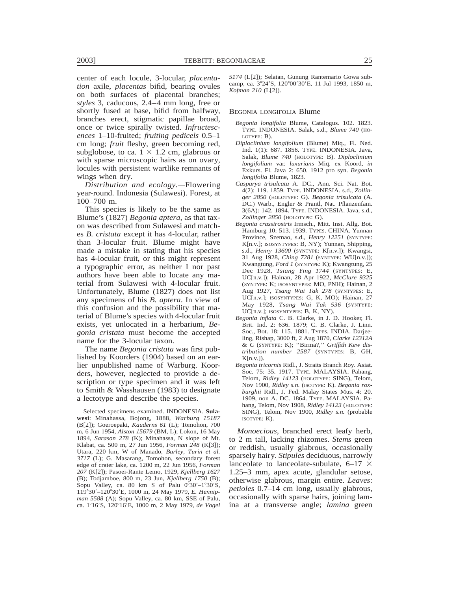center of each locule, 3-locular, *placentation* axile, *placentas* bifid, bearing ovules on both surfaces of placental branches; *styles* 3, caducous, 2.4–4 mm long, free or shortly fused at base, bifid from halfway, branches erect, stigmatic papillae broad, once or twice spirally twisted. *Infructescences* 1–10-fruited; *fruiting pedicels* 0.5–1 cm long; *fruit* fleshy, green becoming red, subglobose, to ca.  $1 \times 1.2$  cm, glabrous or with sparse microscopic hairs as on ovary, locules with persistent wartlike remnants of wings when dry.

*Distribution and ecology.*—Flowering year-round. Indonesia (Sulawesi). Forest, at 100–700 m.

This species is likely to be the same as Blume's (1827) *Begonia aptera*, as that taxon was described from Sulawesi and matches *B. cristata* except it has 4-locular, rather than 3-locular fruit. Blume might have made a mistake in stating that his species has 4-locular fruit, or this might represent a typographic error, as neither I nor past authors have been able to locate any material from Sulawesi with 4-locular fruit. Unfortunately, Blume (1827) does not list any specimens of his *B. aptera*. In view of this confusion and the possibility that material of Blume's species with 4-locular fruit exists, yet unlocated in a herbarium, *Begonia cristata* must become the accepted name for the 3-locular taxon.

The name *Begonia cristata* was first published by Koorders (1904) based on an earlier unpublished name of Warburg. Koorders, however, neglected to provide a description or type specimen and it was left to Smith & Wasshausen (1983) to designate a lectotype and describe the species.

Selected specimens examined. INDONESIA. **Sulawesi**: Minahassa, Bojong, 1888, *Warburg 15187* (B[2]); Goeroepaki, *Kauderns 61* (L); Tomohon, 700 m, 6 Jun 1954, *Alston 15679* (BM, L); Lokon, 16 May 1894, *Sarason 278* (K); Minahassa, N slope of Mt. Klabat, ca. 500 m, 27 Jun 1956, *Forman 248* (K[3]); Utara, 220 km, W of Manado, *Burley, Turin et al. 3717* (L); G. Masarang, Tomohon, secondary forest edge of crater lake, ca. 1200 m, 22 Jun 1956, *Forman 207* (K[2]); Pasoei-Rante Lemo, 1929, *Kjellberg 1627* (B); Todjamboe, 800 m, 23 Jun, *Kjellberg 1750* (B); Sopu Valley, ca. 80 km S of Palu  $0°30'$ -1°30'S, 119°30'-120°30'E, 1000 m, 24 May 1979, *E. Hennipman 5588* (A); Sopu Valley, ca. 80 km, SSE of Palu, ca. 1°16'S, 120°16'E, 1000 m, 2 May 1979, *de Vogel* 

*5174* (L[2]); Selatan, Gunung Rantemario Gowa subcamp, ca. 3°24'S, 120°00'30'E, 11 Jul 1993, 1850 m, *Kofman 210* (L[2]).

#### BEGONIA LONGIFOLIA Blume

- *Begonia longifolia* Blume, Catalogus. 102. 1823. TYPE. INDONESIA. Salak, s.d., *Blume 740* (HO-LOTYPE: B).
- *Diploclinium longifolium* (Blume) Miq., Fl. Ned. Ind. 1(1): 687. 1856. TYPE. INDONESIA. Java, Salak, *Blume 740* (HOLOTYPE: B). *Diploclinium longifolium* var. *luxurians* Miq. ex Koord, *in* Exkurs. Fl. Java 2: 650. 1912 pro syn. *Begonia longifolia* Blume, 1823.
- *Casparya trisulcata* A. DC., Ann. Sci. Nat. Bot. 4(2): 119. 1859. TYPE. INDONESIA. s.d., *Zollinger 2850* (HOLOTYPE: G). *Begonia trisulcata* (A. DC.) Warb., Engler & Prantl, Nat. Pflanzenfam. 3(6A): 142. 1894. TYPE. INDONESIA. Java, s.d., *Zollinger 2850* (HOLOTYPE: G).
- *Begonia crassirostris* Irmsch., Mitt. Inst. Allg. Bot. Hamburg 10: 513. 1939. TYPES. CHINA. Yunnan Province, Szemao, s.d., *Henry 12251* (SYNTYPE: K[n.v.]; ISOSYNTYPES: B, NY); Yunnan, Shipping, s.d., *Henry 13600* (SYNTYPE: K[n.v.]); Kwangsi, 31 Aug 1928, *Ching 7281* (SYNTYPE: WU[n.v.]); Kwangtung, *Ford 1* (SYNTYPE: K); Kwangtung, 25 Dec 1928, *Tsiang Ying 1744* (SYNTYPES: E, UC[n.v.]); Hainan, 28 Apr 1922, *McClure 9325* (SYNTYPE: K; ISOSYNTYPES: MO, PNH); Hainan, 2 Aug 1927, *Tsang Wai Tak 278* (SYNTYPES: E, UC[n.v.]; ISOSYNTYPES: G, K, MO); Hainan, 27 May 1928, *Tsang Wai Tak 536* (SYNTYPE: UC[n.v.]; ISOSYNTYPES: B, K, NY).
- *Begonia inflata* C. B. Clarke, in J. D. Hooker, Fl. Brit. Ind. 2: 636. 1879; C. B. Clarke, J. Linn. Soc., Bot. 18: 115. 1881. TYPES. INDIA. Darjeeling, Rishap, 3000 ft, 2 Aug 1870, *Clarke 12312A* & *C* (SYNTYPE: K); ''Birma?,'' *Griffith Kew distribution number 2587* (SYNTYPES: B, GH,  $K[n.v.]$ ).
- *Begonia tricornis* Ridl., J. Straits Branch Roy. Asiat. Soc. 75: 35. 1917. TYPE. MALAYSIA. Pahang, Telom, *Ridley 14123* (HOLOTYPE: SING), Telom, Nov 1900, *Ridley s.n.* (ISOTYPE: K). *Begonia roxburghii* Ridl., J. Fed. Malay States Mus. 4: 20. 1909, non A. DC. 1864. TYPE. MALAYSIA. Pahang, Telom, Nov 1908, *Ridley 14123* (HOLOTYPE: SING), Telom, Nov 1900, *Ridley s.n.* (probable ISOTYPE: K).

*Monoecious,* branched erect leafy herb, to 2 m tall, lacking rhizomes. *Stems* green or reddish, usually glabrous, occasionally sparsely hairy. *Stipules* deciduous, narrowly lanceolate to lanceolate-subulate,  $6-17 \times$ 1.25–3 mm, apex acute, glandular setose, otherwise glabrous, margin entire. *Leaves*: *petioles* 0.7–14 cm long, usually glabrous, occasionally with sparse hairs, joining lamina at a transverse angle; *lamina* green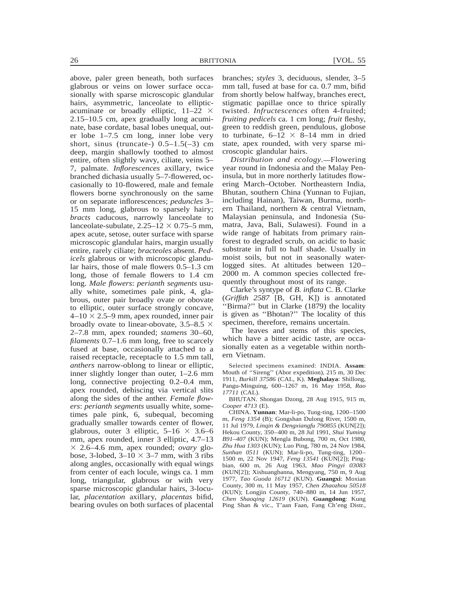above, paler green beneath, both surfaces glabrous or veins on lower surface occasionally with sparse microscopic glandular hairs, asymmetric, lanceolate to ellipticacuminate or broadly elliptic,  $11-22 \times$ 2.15–10.5 cm, apex gradually long acuminate, base cordate, basal lobes unequal, outer lobe 1–7.5 cm long, inner lobe very short, sinus (truncate-)  $0.5-1.5(-3)$  cm deep, margin shallowly toothed to almost entire, often slightly wavy, ciliate, veins 5– 7, palmate. *Inflorescences* axillary, twice branched dichasia usually 5–7-flowered, occasionally to 10-flowered, male and female flowers borne synchronously on the same or on separate inflorescences; *peduncles* 3– 15 mm long, glabrous to sparsely hairy; *bracts* caducous, narrowly lanceolate to lanceolate-subulate,  $2.25-12 \times 0.75-5$  mm, apex acute, setose, outer surface with sparse microscopic glandular hairs, margin usually entire, rarely ciliate; *bracteoles* absent. *Pedicels* glabrous or with microscopic glandular hairs, those of male flowers 0.5–1.3 cm long, those of female flowers to 1.4 cm long. *Male flowers*: *perianth segments* usually white, sometimes pale pink, 4, glabrous, outer pair broadly ovate or obovate to elliptic, outer surface strongly concave,  $4-10 \times 2.5-9$  mm, apex rounded, inner pair broadly ovate to linear-obovate,  $3.5-8.5 \times$ 2–7.8 mm, apex rounded; *stamens* 30–60, *filaments* 0.7–1.6 mm long, free to scarcely fused at base, occasionally attached to a raised receptacle, receptacle to 1.5 mm tall, *anthers* narrow-oblong to linear or elliptic, inner slightly longer than outer, 1–2.6 mm long, connective projecting 0.2–0.4 mm, apex rounded, dehiscing via vertical slits along the sides of the anther. *Female flowers*: *perianth segments* usually white, sometimes pale pink, 6, subequal, becoming gradually smaller towards center of flower, glabrous, outer 3 elliptic,  $5{\text -}16 \times 3.6{\text -}6$ mm, apex rounded, inner 3 elliptic, 4.7–13  $\times$  2.6–4.6 mm, apex rounded; *ovary* globose, 3-lobed,  $3-10 \times 3-7$  mm, with 3 ribs along angles, occasionally with equal wings from center of each locule, wings ca. 1 mm long, triangular, glabrous or with very sparse microscopic glandular hairs, 3-locular, *placentation* axillary, *placentas* bifid, bearing ovules on both surfaces of placental

branches; *styles* 3, deciduous, slender, 3–5 mm tall, fused at base for ca. 0.7 mm, bifid from shortly below halfway, branches erect, stigmatic papillae once to thrice spirally twisted. *Infructescences* often 4-fruited; *fruiting pedicels* ca. 1 cm long; *fruit* fleshy, green to reddish green, pendulous, globose to turbinate,  $6-12 \times 8-14$  mm in dried state, apex rounded, with very sparse microscopic glandular hairs.

*Distribution and ecology.*-Flowering year round in Indonesia and the Malay Peninsula, but in more northerly latitudes flowering March–October. Northeastern India, Bhutan, southern China (Yunnan to Fujian, including Hainan), Taiwan, Burma, northern Thailand, northern & central Vietnam, Malaysian peninsula, and Indonesia (Sumatra, Java, Bali, Sulawesi). Found in a wide range of habitats from primary rainforest to degraded scrub, on acidic to basic substrate in full to half shade. Usually in moist soils, but not in seasonally waterlogged sites. At altitudes between 120– 2000 m. A common species collected frequently throughout most of its range.

Clarke's syntype of *B. inflata* C. B. Clarke (*Griffith 2587* [B, GH, K]) is annotated ''Birma?'' but in Clarke (1879) the locality is given as ''Bhotan?'' The locality of this specimen, therefore, remains uncertain.

The leaves and stems of this species, which have a bitter acidic taste, are occasionally eaten as a vegetable within northern Vietnam.

Selected specimens examined: INDIA. **Assam**: Mouth of ''Sireng'' (Abor expedition), 215 m, 30 Dec 1911, *Burkill 37586* (CAL, K). **Meghalaya**: Shillong, Pangu-Minguing, 600–1267 m, 16 May 1958, *Rao 17711* (CAL).

BHUTAN. Shongan Dzong, 28 Aug 1915, 915 m, *Cooper 4713* (E).

CHINA. **Yunnan**: Mar-li-po, Tung-ting, 1200–1500 m, *Feng 1354* (B); Gongshan Dulong River, 1500 m, 11 Jul 1979, *Linqin & Dengxiangfu 790855* (KUN[2]); Hekou County, 350–400 m, 28 Jul 1991, *Shui Yuming B91–407* (KUN); Mengla Bubong, 700 m, Oct 1980, *Zhu Hua 1303* (KUN); Luo Ping, 780 m, 24 Nov 1984, *Sunhan 0511* (KUN); Mar-li-po, Tung-ting, 1200– 1500 m, 22 Nov 1947, *Feng 13541* (KUN[2]); Pingbian, 600 m, 26 Aug 1963, *Mao Pingyi 03083* (KUN[2]); Xishuangbanna, Mengyang, 750 m, 9 Aug 1977, *Tao Guoda 16712* (KUN). **Guangxi**: Moxian County, 300 m, 11 May 1957, *Chen Zhaozhou 50518* (KUN); Longjin County, 740–880 m, 14 Jun 1957, *Chen Shaoqing 12619* (KUN). **Guangdong**: Kung Ping Shan & vic., T'aan Faan, Fang Ch'eng Distr.,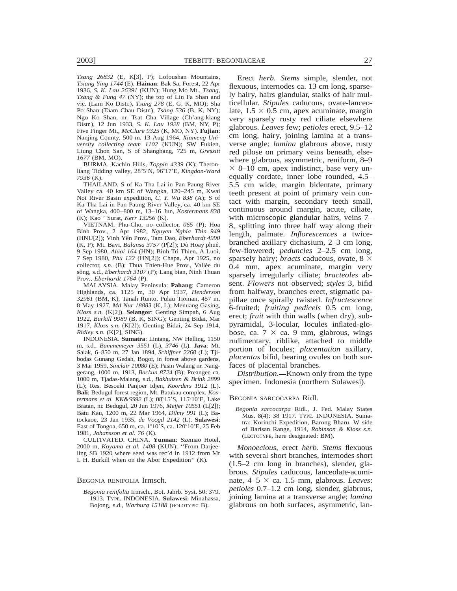*Tsang 26832* (E, K[3], P); Lofoushan Mountains, *Tsiang Ying 1744* (E). **Hainan**: Bak Sa, Forest, 22 Apr 1936, *S. K. Lau 26391* (KUN); Hung Mo Mt., *Tsang, Tsang & Fung 47* (NY); the top of Lin Fa Shan and vic. (Lam Ko Distr.), *Tsang 278* (E, G, K, MO); Sha Po Shan (Taam Chau Distr.), *Tsang 536* (B, K, NY); Ngo Ko Shan, nr. Tsat Cha Village (Ch'ang-kiang Distr.), 12 Jun 1933, *S. K. Lau 1928* (BM, NY, P); Five Finger Mt., *McClure 9325* (K, MO, NY). **Fujian**: Nanjing County, 500 m, 13 Aug 1964, *Xiameng University collecting team 1102* (KUN); SW Fukien, Liung Chon San, S of Shanghang, 725 m, *Gressitt 1677* (BM, MO).

BURMA. Kachin Hills, *Toppin 4339* (K); Theronliang Tidding valley, 28°5'N, 96°17'E, *Kingdon-Ward 7936* (K).

THAILAND. S of Ka Tha Lai in Pan Paung River Valley ca. 40 km SE of Wangka, 120–245 m, Kwai Noi River Basin expedition, *C. Y. Wu 838* (A); S of Ka Tha Lai in Pan Paung River Valley, ca. 40 km SE of Wangka, 400–800 m, 13–16 Jun, *Kostermans 838* (K); Kao ' Surat, *Kerr 13256* (K).

VIETNAM. Phu-Cho, no collector, *065* (P); Hoa Binh Prov., 2 Apr 1982, *Nguyen Nghia Thin 949* (HNU[2]); Vinh Yên Prov., Tam Dao, *Eberhardt 4990* (K, P); Mt. Bavi, *Balansa 3757* (P[2]); Dò Hoay phué, 9 Sep 1980, *Alüoi 164* (HN); Binh Tri Thien, A Luoi, 7 Sep 1980, *Phu 122* (HN[2]); Chapa, Apr 1925, no collector, *s.n.* (B); Thua Thien-Hue Prov., Vallée du sông, s.d., *Eberhardt 3107* (P); Lang bian, Ninh Thuan Prov., *Eberhardt 1764* (P).

MALAYSIA. Malay Peninsula: **Pahang**: Cameron Highlands, ca. 1125 m, 30 Apr 1937, *Henderson 32961* (BM, K). Tanah Runto, Pulau Tioman, 457 m, 8 May 1927, *Md Nur 18883* (K, L); Menuang Gasing, *Kloss s.n.* (K[2]). **Selangor**: Genting Simpah, 6 Aug 1922, *Burkill 9989* (B, K, SING); Genting Bidai, Mar 1917, *Kloss s.n.* (K[2]); Genting Bidai, 24 Sep 1914, *Ridley s.n.* (K[2], SING).

INDONESIA. **Sumatra**: Lintang, NW Helling, 1150 m, s.d., *Bu¨mmemeyer 3551* (L), *3746* (L). **Java**: Mt. Salak, 6–850 m, 27 Jan 1894, *Schiffner 2268* (L); Tjibodas Gunang Gedah, Bogor, in forest above gardens, 3 Mar 1959, *Sinclair 10080* (E); Pasin Walang nr. Nanggerang, 1000 m, 1913, *Backun 8724* (B); Preanger, ca. 1000 m, Tjadas-Malang, s.d., *Bakhuizen & Brink 2899* (L); Res. Besoeki Panjoer Idjen, *Koorders 1912* (L). **Bali**: Bedugul forest region, Mt. Batukau complex, *Kostermans et al. KK&SS92* (L); 08°15'S, 115°10'E, Lake Bratan, nr. Bedugul, 20 Jun 1976, *Meijer 10551* (L[2]); Batu Kau, 1200 m, 22 Mar 1964, *Dilmy 991* (L); Batockaoe, 23 Jan 1935, *de Voogd 2142* (L). **Sulawesi**: East of Tongoa, 650 m, ca.  $1^{\circ}10^{\prime}$ S, ca.  $120^{\circ}10^{\prime}$ E, 25 Feb 1981, *Johansson et al. 76* (K).

CULTIVATED. CHINA. **Yunnan**: Szemao Hotel, 2000 m, *Koyama et al. 1408* (KUN); ''From Darjeeling SB 1920 where seed was rec'd in 1912 from Mr I. H. Burkill when on the Abor Expedition'' (K).

#### BEGONIA RENIFOLIA Irmsch.

*Begonia renifolia* Irmsch., Bot. Jahrb. Syst. 50: 379. 1913. TYPE. INDONESIA. **Sulawesi**: Minahassa, Bojong, s.d., *Warburg 15188* (HOLOTYPE: B).

Erect *herb. Stems* simple, slender, not flexuous, internodes ca. 13 cm long, sparsely hairy, hairs glandular, stalks of hair multicellular. *Stipules* caducous, ovate-lanceolate,  $1.5 \times 0.5$  cm, apex acuminate, margin very sparsely rusty red ciliate elsewhere glabrous. *Leaves* few; *petioles* erect, 9.5–12 cm long, hairy, joining lamina at a transverse angle; *lamina* glabrous above, rusty red pilose on primary veins beneath, elsewhere glabrous, asymmetric, reniform, 8–9  $\times$  8–10 cm, apex indistinct, base very unequally cordate, inner lobe rounded, 4.5– 5.5 cm wide, margin bidentate, primary teeth present at point of primary vein contact with margin, secondary teeth small, continuous around margin, acute, ciliate, with microscopic glandular hairs, veins 7– 8, splitting into three half way along their length, palmate. *Inflorescences* a twicebranched axillary dichasium, 2–3 cm long, few-flowered; *peduncles* 2–2.5 cm long, sparsely hairy; *bracts* caducous, ovate,  $8 \times$ 0.4 mm, apex acuminate, margin very sparsely irregularly ciliate; *bracteoles* absent. *Flowers* not observed; *styles* 3, bifid from halfway, branches erect, stigmatic papillae once spirally twisted. *Infructescence* 6-fruited; *fruiting pedicels* 0.5 cm long, erect; *fruit* with thin walls (when dry), subpyramidal, 3-locular, locules inflated-globose, ca.  $7 \times$  ca. 9 mm, glabrous, wings rudimentary, riblike, attached to middle portion of locules; *placentation* axillary, *placentas* bifid, bearing ovules on both surfaces of placental branches.

*Distribution.*—Known only from the type specimen. Indonesia (northern Sulawesi).

#### BEGONIA SARCOCARPA Ridl.

*Begonia sarcocarpa* Ridl., J. Fed. Malay States Mus. 8(4): 38 1917. TYPE. INDONESIA. Sumatra: Korinchi Expedition, Barong Bharu, W side of Barisan Range, 1914, *Robinson & Kloss s.n.* (LECTOTYPE, here designated: BM).

*Monoecious,* erect *herb. Stems* flexuous with several short branches, internodes short (1.5–2 cm long in branches), slender, glabrous. *Stipules* caducous, lanceolate-acuminate,  $4-5 \times ca$ . 1.5 mm, glabrous. *Leaves*: *petioles* 0.7–1.2 cm long, slender, glabrous, joining lamina at a transverse angle; *lamina* glabrous on both surfaces, asymmetric, lan-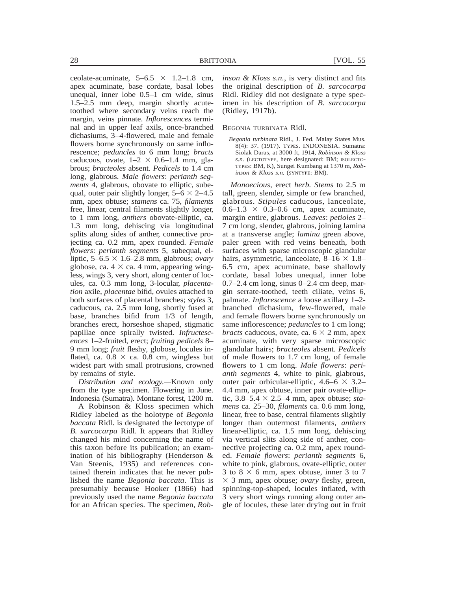ceolate-acuminate,  $5-6.5 \times 1.2-1.8$  cm, apex acuminate, base cordate, basal lobes unequal, inner lobe 0.5–1 cm wide, sinus 1.5–2.5 mm deep, margin shortly acutetoothed where secondary veins reach the margin, veins pinnate. *Inflorescences* terminal and in upper leaf axils, once-branched dichasiums, 3–4-flowered, male and female flowers borne synchronously on same inflorescence; *peduncles* to 6 mm long; *bracts* caducous, ovate,  $1-2 \times 0.6-1.4$  mm, glabrous; *bracteoles* absent. *Pedicels* to 1.4 cm long, glabrous. *Male flowers*: *perianth segments* 4, glabrous, obovate to elliptic, subequal, outer pair slightly longer,  $5-6 \times 2-4.5$ mm, apex obtuse; *stamens* ca. 75, *filaments* free, linear, central filaments slightly longer, to 1 mm long, *anthers* obovate-elliptic, ca. 1.3 mm long, dehiscing via longitudinal splits along sides of anther, connective projecting ca. 0.2 mm, apex rounded. *Female flowers*: *perianth segments* 5, subequal, elliptic,  $5-6.5 \times 1.6-2.8$  mm, glabrous; *ovary* globose, ca.  $4 \times$  ca. 4 mm, appearing wingless, wings 3, very short, along center of locules, ca. 0.3 mm long, 3-locular, *placentation* axile, *placentae* bifid, ovules attached to both surfaces of placental branches; *styles* 3, caducous, ca. 2.5 mm long, shortly fused at base, branches bifid from 1/3 of length, branches erect, horseshoe shaped, stigmatic papillae once spirally twisted. *Infructescences* 1–2-fruited, erect; *fruiting pedicels* 8– 9 mm long; *fruit* fleshy, globose, locules inflated, ca.  $0.8 \times$  ca. 0.8 cm, wingless but widest part with small protrusions, crowned by remains of style.

*Distribution and ecology.* Known only from the type specimen. Flowering in June. Indonesia (Sumatra). Montane forest, 1200 m.

A Robinson & Kloss specimen which Ridley labeled as the holotype of *Begonia baccata* Ridl. is designated the lectotype of *B. sarcocarpa* Ridl. It appears that Ridley changed his mind concerning the name of this taxon before its publication; an examination of his bibliography (Henderson & Van Steenis, 1935) and references contained therein indicates that he never published the name *Begonia baccata*. This is presumably because Hooker (1866) had previously used the name *Begonia baccata* for an African species. The specimen, *Rob-* *inson & Kloss s.n.*, is very distinct and fits the original description of *B. sarcocarpa* Ridl. Ridley did not designate a type specimen in his description of *B. sarcocarpa* (Ridley, 1917b).

## BEGONIA TURBINATA Ridl.

*Begonia turbinata* Ridl., J. Fed. Malay States Mus. 8(4): 37. (1917). TYPES. INDONESIA. Sumatra: Siolak Daras, at 3000 ft, 1914, *Robinson & Kloss s.n.* (LECTOTYPE, here designated: BM; ISOLECTO-TYPES: BM, K), Sungei Kumbang at 1370 m, *Robinson & Kloss s.n.* (SYNTYPE: BM).

*Monoecious,* erect *herb. Stems* to 2.5 m tall, green, slender, simple or few branched, glabrous. *Stipules* caducous, lanceolate,  $0.6-1.3 \times 0.3-0.6$  cm, apex acuminate, margin entire, glabrous. *Leaves*: *petioles* 2– 7 cm long, slender, glabrous, joining lamina at a transverse angle; *lamina* green above, paler green with red veins beneath, both surfaces with sparse microscopic glandular hairs, asymmetric, lanceolate,  $8-16 \times 1.8$ 6.5 cm, apex acuminate, base shallowly cordate, basal lobes unequal, inner lobe  $0.7-2.4$  cm long, sinus  $0-2.4$  cm deep, margin serrate-toothed, teeth ciliate, veins 6, palmate. *Inflorescence* a loose axillary 1–2 branched dichasium, few-flowered, male and female flowers borne synchronously on same inflorescence; *peduncles* to 1 cm long; *bracts* caducous, ovate, ca.  $6 \times 2$  mm, apex acuminate, with very sparse microscopic glandular hairs; *bracteoles* absent. *Pedicels* of male flowers to 1.7 cm long, of female flowers to 1 cm long. *Male flowers*: *perianth segments* 4, white to pink, glabrous, outer pair orbicular-elliptic,  $4.6-6 \times 3.2-$ 4.4 mm, apex obtuse, inner pair ovate-elliptic,  $3.8-5.4 \times 2.5-4$  mm, apex obtuse; *stamens* ca. 25–30, *filaments* ca. 0.6 mm long, linear, free to base, central filaments slightly longer than outermost filaments, *anthers* linear-elliptic, ca. 1.5 mm long, dehiscing via vertical slits along side of anther, connective projecting ca. 0.2 mm, apex rounded. *Female flowers*: *perianth segments* 6, white to pink, glabrous, ovate-elliptic, outer 3 to 8  $\times$  6 mm, apex obtuse, inner 3 to 7 3 3 mm, apex obtuse; *ovary* fleshy, green, spinning-top-shaped, locules inflated, with 3 very short wings running along outer angle of locules, these later drying out in fruit